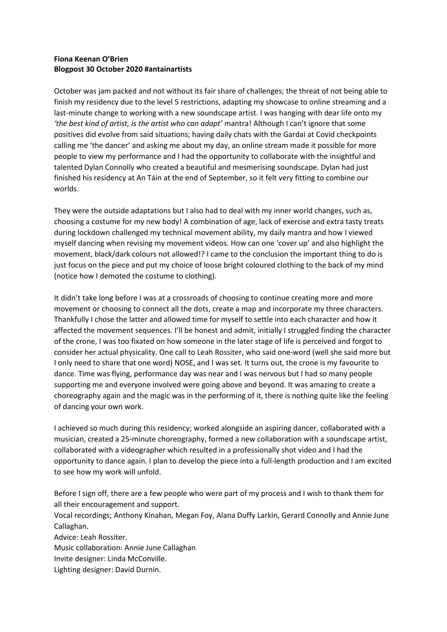## **Fiona Keenan O'Brien Blogpost 30 October 2020 #antainartists**

October was jam packed and not without its fair share of challenges; the threat of not being able to finish my residency due to the level 5 restrictions, adapting my showcase to online streaming and a last-minute change to working with a new soundscape artist. I was hanging with dear life onto my *'the best kind of artist, is the artist who can adapt'* mantra! Although I can't ignore that some positives did evolve from said situations; having daily chats with the Gardai at Covid checkpoints calling me 'the dancer' and asking me about my day, an online stream made it possible for more people to view my performance and I had the opportunity to collaborate with the insightful and talented Dylan Connolly who created a beautiful and mesmerising soundscape. Dylan had just finished his residency at An Táin at the end of September, so it felt very fitting to combine our worlds.

They were the outside adaptations but I also had to deal with my inner world changes, such as, choosing a costume for my new body! A combination of age, lack of exercise and extra tasty treats during lockdown challenged my technical movement ability, my daily mantra and how I viewed myself dancing when revising my movement videos. How can one 'cover up' and also highlight the movement, black/dark colours not allowed!? I came to the conclusion the important thing to do is just focus on the piece and put my choice of loose bright coloured clothing to the back of my mind (notice how I demoted the costume to clothing).

It didn't take long before I was at a crossroads of choosing to continue creating more and more movement or choosing to connect all the dots, create a map and incorporate my three characters. Thankfully I chose the latter and allowed time for myself to settle into each character and how it affected the movement sequences. I'll be honest and admit, initially I struggled finding the character of the crone, I was too fixated on how someone in the later stage of life is perceived and forgot to consider her actual physicality. One call to Leah Rossiter, who said one-word (well she said more but I only need to share that one word) NOSE, and I was set. It turns out, the crone is my favourite to dance. Time was flying, performance day was near and I was nervous but I had so many people supporting me and everyone involved were going above and beyond. It was amazing to create a choreography again and the magic was in the performing of it, there is nothing quite like the feeling of dancing your own work.

I achieved so much during this residency; worked alongside an aspiring dancer, collaborated with a musician, created a 25-minute choreography, formed a new collaboration with a soundscape artist, collaborated with a videographer which resulted in a professionally shot video and I had the opportunity to dance again. I plan to develop the piece into a full-length production and I am excited to see how my work will unfold.

Before I sign off, there are a few people who were part of my process and I wish to thank them for all their encouragement and support.

Vocal recordings; Anthony Kinahan, Megan Foy, Alana Duffy Larkin, Gerard Connolly and Annie June Callaghan.

Advice: Leah Rossiter. Music collaboration: Annie June Callaghan

Invite designer: Linda McConville.

Lighting designer: David Durnin.